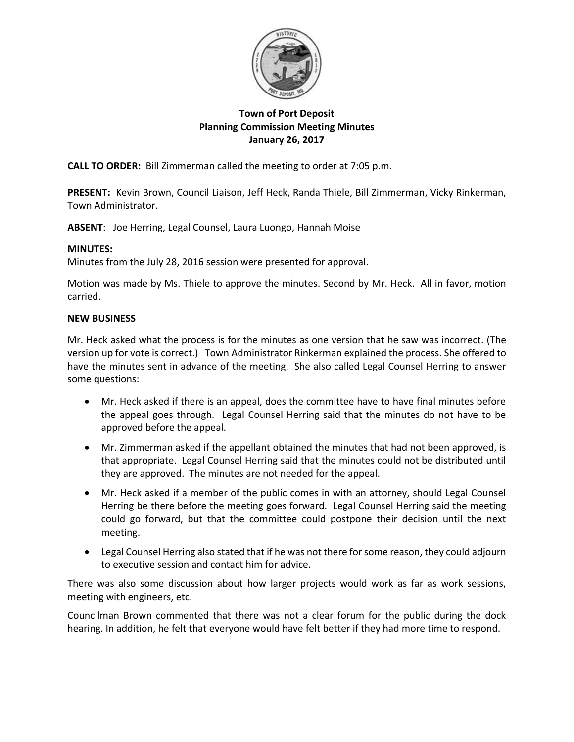

# **Town of Port Deposit Planning Commission Meeting Minutes January 26, 2017**

**CALL TO ORDER:** Bill Zimmerman called the meeting to order at 7:05 p.m.

**PRESENT:** Kevin Brown, Council Liaison, Jeff Heck, Randa Thiele, Bill Zimmerman, Vicky Rinkerman, Town Administrator.

**ABSENT**: Joe Herring, Legal Counsel, Laura Luongo, Hannah Moise

## **MINUTES:**

Minutes from the July 28, 2016 session were presented for approval.

Motion was made by Ms. Thiele to approve the minutes. Second by Mr. Heck. All in favor, motion carried.

### **NEW BUSINESS**

Mr. Heck asked what the process is for the minutes as one version that he saw was incorrect. (The version up for vote is correct.) Town Administrator Rinkerman explained the process. She offered to have the minutes sent in advance of the meeting. She also called Legal Counsel Herring to answer some questions:

- Mr. Heck asked if there is an appeal, does the committee have to have final minutes before the appeal goes through. Legal Counsel Herring said that the minutes do not have to be approved before the appeal.
- Mr. Zimmerman asked if the appellant obtained the minutes that had not been approved, is that appropriate. Legal Counsel Herring said that the minutes could not be distributed until they are approved. The minutes are not needed for the appeal.
- Mr. Heck asked if a member of the public comes in with an attorney, should Legal Counsel Herring be there before the meeting goes forward. Legal Counsel Herring said the meeting could go forward, but that the committee could postpone their decision until the next meeting.
- Legal Counsel Herring also stated that if he was not there for some reason, they could adjourn to executive session and contact him for advice.

There was also some discussion about how larger projects would work as far as work sessions, meeting with engineers, etc.

Councilman Brown commented that there was not a clear forum for the public during the dock hearing. In addition, he felt that everyone would have felt better if they had more time to respond.